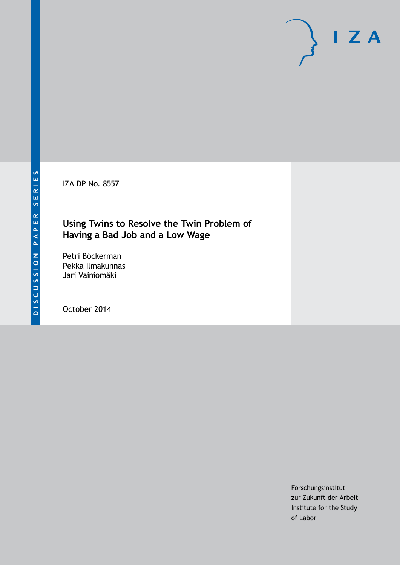IZA DP No. 8557

# **Using Twins to Resolve the Twin Problem of Having a Bad Job and a Low Wage**

Petri Böckerman Pekka Ilmakunnas Jari Vainiomäki

October 2014

Forschungsinstitut zur Zukunft der Arbeit Institute for the Study of Labor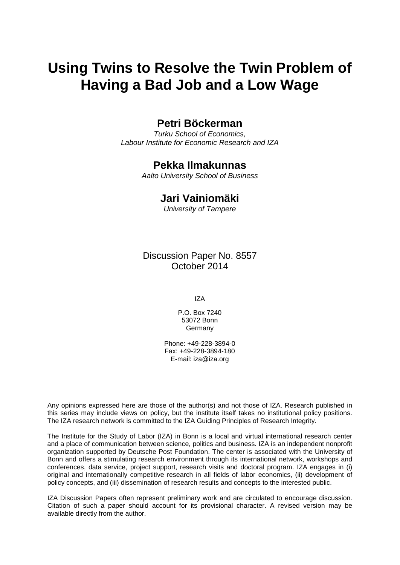# **Using Twins to Resolve the Twin Problem of Having a Bad Job and a Low Wage**

### **Petri Böckerman**

*Turku School of Economics, Labour Institute for Economic Research and IZA*

### **Pekka Ilmakunnas**

*Aalto University School of Business*

### **Jari Vainiomäki**

*University of Tampere*

Discussion Paper No. 8557 October 2014

IZA

P.O. Box 7240 53072 Bonn Germany

Phone: +49-228-3894-0 Fax: +49-228-3894-180 E-mail: [iza@iza.org](mailto:iza@iza.org)

Any opinions expressed here are those of the author(s) and not those of IZA. Research published in this series may include views on policy, but the institute itself takes no institutional policy positions. The IZA research network is committed to the IZA Guiding Principles of Research Integrity.

The Institute for the Study of Labor (IZA) in Bonn is a local and virtual international research center and a place of communication between science, politics and business. IZA is an independent nonprofit organization supported by Deutsche Post Foundation. The center is associated with the University of Bonn and offers a stimulating research environment through its international network, workshops and conferences, data service, project support, research visits and doctoral program. IZA engages in (i) original and internationally competitive research in all fields of labor economics, (ii) development of policy concepts, and (iii) dissemination of research results and concepts to the interested public.

<span id="page-1-0"></span>IZA Discussion Papers often represent preliminary work and are circulated to encourage discussion. Citation of such a paper should account for its provisional character. A revised version may be available directly from the author.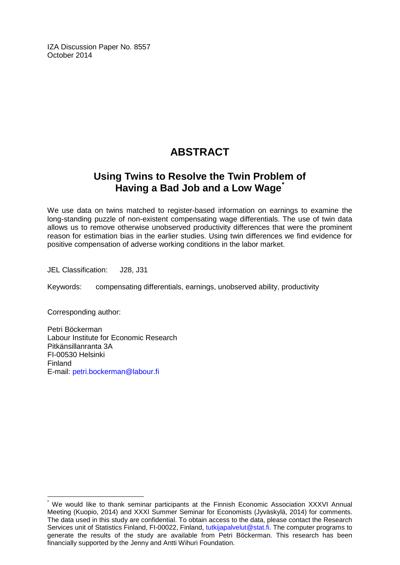IZA Discussion Paper No. 8557 October 2014

# **ABSTRACT**

## **Using Twins to Resolve the Twin Problem of Having a Bad Job and a Low Wage[\\*](#page-1-0)**

We use data on twins matched to register-based information on earnings to examine the long-standing puzzle of non-existent compensating wage differentials. The use of twin data allows us to remove otherwise unobserved productivity differences that were the prominent reason for estimation bias in the earlier studies. Using twin differences we find evidence for positive compensation of adverse working conditions in the labor market.

JEL Classification: J28, J31

Keywords: compensating differentials, earnings, unobserved ability, productivity

Corresponding author:

Petri Böckerman Labour Institute for Economic Research Pitkänsillanranta 3A FI-00530 Helsinki Finland E-mail: [petri.bockerman@labour.fi](mailto:petri.bockerman@labour.fi)

We would like to thank seminar participants at the Finnish Economic Association XXXVI Annual Meeting (Kuopio, 2014) and XXXI Summer Seminar for Economists (Jyväskylä, 2014) for comments. The data used in this study are confidential. To obtain access to the data, please contact the Research Services unit of Statistics Finland, FI-00022, Finland, [tutkijapalvelut@stat.fi.](mailto:tutkijapalvelut@stat.fi) The computer programs to generate the results of the study are available from Petri Böckerman. This research has been financially supported by the Jenny and Antti Wihuri Foundation.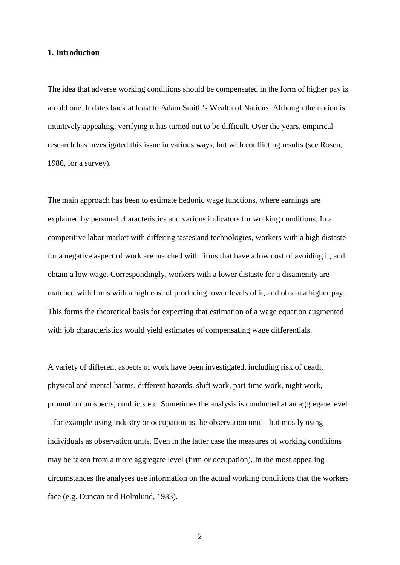#### **1. Introduction**

The idea that adverse working conditions should be compensated in the form of higher pay is an old one. It dates back at least to Adam Smith's Wealth of Nations. Although the notion is intuitively appealing, verifying it has turned out to be difficult. Over the years, empirical research has investigated this issue in various ways, but with conflicting results (see Rosen, 1986, for a survey).

The main approach has been to estimate hedonic wage functions, where earnings are explained by personal characteristics and various indicators for working conditions. In a competitive labor market with differing tastes and technologies, workers with a high distaste for a negative aspect of work are matched with firms that have a low cost of avoiding it, and obtain a low wage. Correspondingly, workers with a lower distaste for a disamenity are matched with firms with a high cost of producing lower levels of it, and obtain a higher pay. This forms the theoretical basis for expecting that estimation of a wage equation augmented with job characteristics would yield estimates of compensating wage differentials.

A variety of different aspects of work have been investigated, including risk of death, physical and mental harms, different hazards, shift work, part-time work, night work, promotion prospects, conflicts etc. Sometimes the analysis is conducted at an aggregate level – for example using industry or occupation as the observation unit – but mostly using individuals as observation units. Even in the latter case the measures of working conditions may be taken from a more aggregate level (firm or occupation). In the most appealing circumstances the analyses use information on the actual working conditions that the workers face (e.g. Duncan and Holmlund, 1983).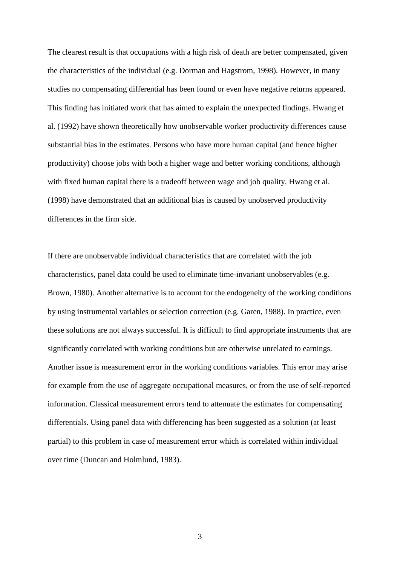The clearest result is that occupations with a high risk of death are better compensated, given the characteristics of the individual (e.g. Dorman and Hagstrom, 1998). However, in many studies no compensating differential has been found or even have negative returns appeared. This finding has initiated work that has aimed to explain the unexpected findings. Hwang et al. (1992) have shown theoretically how unobservable worker productivity differences cause substantial bias in the estimates. Persons who have more human capital (and hence higher productivity) choose jobs with both a higher wage and better working conditions, although with fixed human capital there is a tradeoff between wage and job quality. Hwang et al. (1998) have demonstrated that an additional bias is caused by unobserved productivity differences in the firm side.

If there are unobservable individual characteristics that are correlated with the job characteristics, panel data could be used to eliminate time-invariant unobservables (e.g. Brown, 1980). Another alternative is to account for the endogeneity of the working conditions by using instrumental variables or selection correction (e.g. Garen, 1988). In practice, even these solutions are not always successful. It is difficult to find appropriate instruments that are significantly correlated with working conditions but are otherwise unrelated to earnings. Another issue is measurement error in the working conditions variables. This error may arise for example from the use of aggregate occupational measures, or from the use of self-reported information. Classical measurement errors tend to attenuate the estimates for compensating differentials. Using panel data with differencing has been suggested as a solution (at least partial) to this problem in case of measurement error which is correlated within individual over time (Duncan and Holmlund, 1983).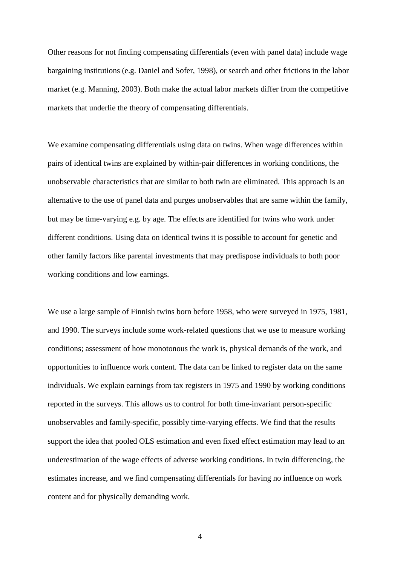Other reasons for not finding compensating differentials (even with panel data) include wage bargaining institutions (e.g. Daniel and Sofer, 1998), or search and other frictions in the labor market (e.g. Manning, 2003). Both make the actual labor markets differ from the competitive markets that underlie the theory of compensating differentials.

We examine compensating differentials using data on twins. When wage differences within pairs of identical twins are explained by within-pair differences in working conditions, the unobservable characteristics that are similar to both twin are eliminated. This approach is an alternative to the use of panel data and purges unobservables that are same within the family, but may be time-varying e.g. by age. The effects are identified for twins who work under different conditions. Using data on identical twins it is possible to account for genetic and other family factors like parental investments that may predispose individuals to both poor working conditions and low earnings.

We use a large sample of Finnish twins born before 1958, who were surveyed in 1975, 1981, and 1990. The surveys include some work-related questions that we use to measure working conditions; assessment of how monotonous the work is, physical demands of the work, and opportunities to influence work content. The data can be linked to register data on the same individuals. We explain earnings from tax registers in 1975 and 1990 by working conditions reported in the surveys. This allows us to control for both time-invariant person-specific unobservables and family-specific, possibly time-varying effects. We find that the results support the idea that pooled OLS estimation and even fixed effect estimation may lead to an underestimation of the wage effects of adverse working conditions. In twin differencing, the estimates increase, and we find compensating differentials for having no influence on work content and for physically demanding work.

4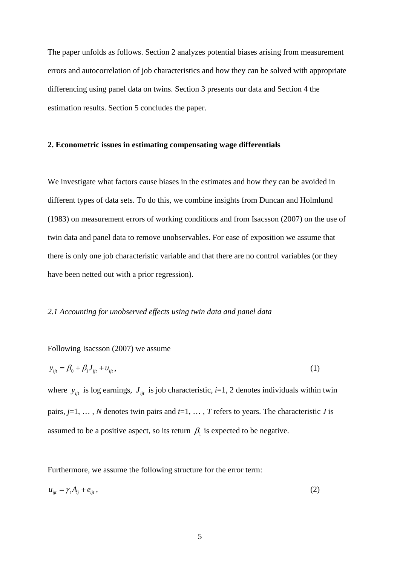The paper unfolds as follows. Section 2 analyzes potential biases arising from measurement errors and autocorrelation of job characteristics and how they can be solved with appropriate differencing using panel data on twins. Section 3 presents our data and Section 4 the estimation results. Section 5 concludes the paper.

#### **2. Econometric issues in estimating compensating wage differentials**

We investigate what factors cause biases in the estimates and how they can be avoided in different types of data sets. To do this, we combine insights from Duncan and Holmlund (1983) on measurement errors of working conditions and from Isacsson (2007) on the use of twin data and panel data to remove unobservables. For ease of exposition we assume that there is only one job characteristic variable and that there are no control variables (or they have been netted out with a prior regression).

#### *2.1 Accounting for unobserved effects using twin data and panel data*

#### Following Isacsson (2007) we assume

$$
y_{ijt} = \beta_0 + \beta_1 J_{ijt} + u_{ijt},
$$
 (1)

where  $y_{ijt}$  is log earnings,  $J_{ijt}$  is job characteristic, *i*=1, 2 denotes individuals within twin pairs, *j*=1, … , *N* denotes twin pairs and *t*=1, … , *T* refers to years. The characteristic *J* is assumed to be a positive aspect, so its return  $\beta_1$  is expected to be negative.

Furthermore, we assume the following structure for the error term:

$$
u_{ijt} = \gamma_t A_{ij} + e_{ijt}, \qquad (2)
$$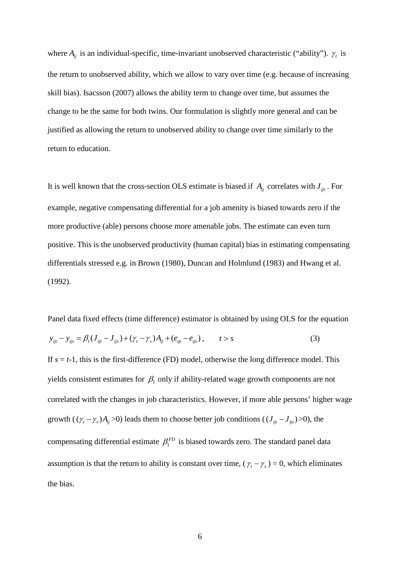where  $A_{ij}$  is an individual-specific, time-invariant unobserved characteristic ("ability").  $\gamma_i$  is the return to unobserved ability, which we allow to vary over time (e.g. because of increasing skill bias). Isacsson (2007) allows the ability term to change over time, but assumes the change to be the same for both twins. Our formulation is slightly more general and can be justified as allowing the return to unobserved ability to change over time similarly to the return to education.

It is well known that the cross-section OLS estimate is biased if  $A_{ii}$  correlates with  $J_{ii}$ . For example, negative compensating differential for a job amenity is biased towards zero if the more productive (able) persons choose more amenable jobs. The estimate can even turn positive. This is the unobserved productivity (human capital) bias in estimating compensating differentials stressed e.g. in Brown (1980), Duncan and Holmlund (1983) and Hwang et al. (1992).

Panel data fixed effects (time difference) estimator is obtained by using OLS for the equation

$$
y_{ijt} - y_{ijs} = \beta_1 (J_{ijt} - J_{ijs}) + (\gamma_t - \gamma_s) A_{ij} + (e_{ijt} - e_{ijs}), \qquad t > s
$$
 (3)

If  $s = t-1$ , this is the first-difference (FD) model, otherwise the long difference model. This yields consistent estimates for  $\beta_1$  only if ability-related wage growth components are not correlated with the changes in job characteristics. However, if more able persons' higher wage growth ( $(\gamma_t - \gamma_s)A_{ij} > 0$ ) leads them to choose better job conditions ( $(J_{ijt} - J_{ijs}) > 0$ ), the compensating differential estimate  $\beta_1^{FD}$  is biased towards zero. The standard panel data assumption is that the return to ability is constant over time,  $(\gamma_t - \gamma_s) = 0$ , which eliminates the bias.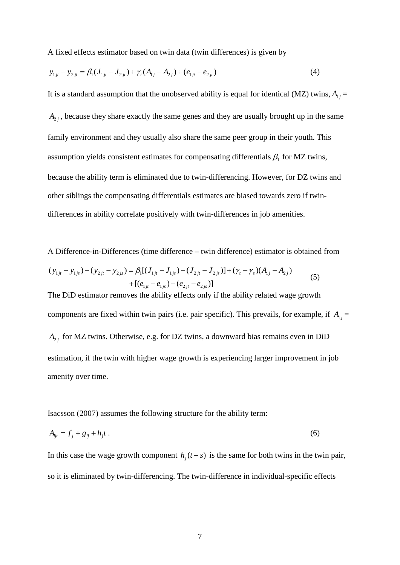A fixed effects estimator based on twin data (twin differences) is given by

$$
y_{1ji} - y_{2ji} = \beta_1 (J_{1ji} - J_{2ji}) + \gamma_t (A_{1j} - A_{2j}) + (e_{1ji} - e_{2ji})
$$
\n(4)

It is a standard assumption that the unobserved ability is equal for identical (MZ) twins,  $A_{1j}$  =  $A_{2j}$ , because they share exactly the same genes and they are usually brought up in the same family environment and they usually also share the same peer group in their youth. This assumption yields consistent estimates for compensating differentials  $\beta_1$  for MZ twins, because the ability term is eliminated due to twin-differencing. However, for DZ twins and other siblings the compensating differentials estimates are biased towards zero if twindifferences in ability correlate positively with twin-differences in job amenities.

A Difference-in-Differences (time difference – twin difference) estimator is obtained from  
\n
$$
(y_{1ji} - y_{1js}) - (y_{2ji} - y_{2js}) = \beta_1 [(J_{1ji} - J_{1js}) - (J_{2ji} - J_{2js})] + (\gamma_t - \gamma_s)(A_{1j} - A_{2j})
$$
  
\n $+ [(e_{1ji} - e_{1js}) - (e_{2ji} - e_{2js})]$   
\nThe DiD estimator removes the ability effects only if the ability related wage growth  
\ncomponents are fixed within twin pairs (i.e. pair specific). This prevails, for example, if  $A_{1j} = A_{2j}$  for MZ twins. Otherwise, e.g. for DZ twins, a downward bias remains even in DiD  
\nestimation, if the twin with higher wage growth is experiencing larger improvement in job  
\namenity over time.

Isacsson (2007) assumes the following structure for the ability term:

$$
A_{ijt} = f_j + g_{ij} + h_j t \tag{6}
$$

In this case the wage growth component  $h_i(t-s)$  is the same for both twins in the twin pair, so it is eliminated by twin-differencing. The twin-difference in individual-specific effects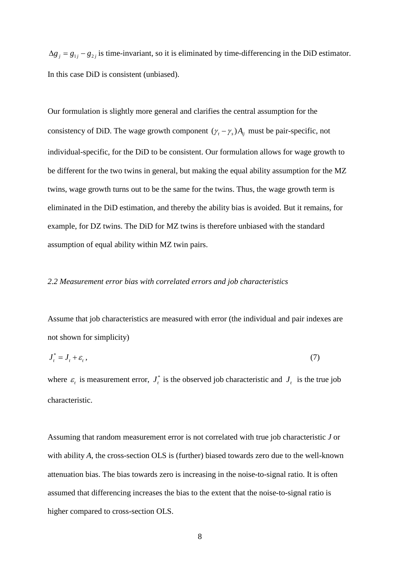$\Delta g_i = g_{1i} - g_{2i}$  is time-invariant, so it is eliminated by time-differencing in the DiD estimator. In this case DiD is consistent (unbiased).

Our formulation is slightly more general and clarifies the central assumption for the consistency of DiD. The wage growth component  $(\gamma_t - \gamma_s)A_{ij}$  must be pair-specific, not individual-specific, for the DiD to be consistent. Our formulation allows for wage growth to be different for the two twins in general, but making the equal ability assumption for the MZ twins, wage growth turns out to be the same for the twins. Thus, the wage growth term is eliminated in the DiD estimation, and thereby the ability bias is avoided. But it remains, for example, for DZ twins. The DiD for MZ twins is therefore unbiased with the standard assumption of equal ability within MZ twin pairs.

#### *2.2 Measurement error bias with correlated errors and job characteristics*

Assume that job characteristics are measured with error (the individual and pair indexes are not shown for simplicity)

$$
J_t^* = J_t + \varepsilon_t, \tag{7}
$$

where  $\varepsilon$  *t* is measurement error,  $J_t^*$  is the observed job characteristic and  $J_t$  is the true job characteristic.

Assuming that random measurement error is not correlated with true job characteristic *J* or with ability *A*, the cross-section OLS is (further) biased towards zero due to the well-known attenuation bias. The bias towards zero is increasing in the noise-to-signal ratio. It is often assumed that differencing increases the bias to the extent that the noise-to-signal ratio is higher compared to cross-section OLS.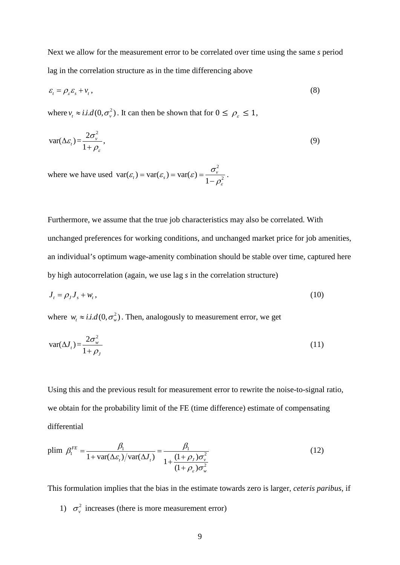Next we allow for the measurement error to be correlated over time using the same *s* period lag in the correlation structure as in the time differencing above

$$
\varepsilon_t = \rho_{\varepsilon} \varepsilon_s + v_t, \tag{8}
$$

where  $v_t \approx i.i.d(0, \sigma_v^2)$ . It can then be shown that for  $0 \le \rho_s \le 1$ ,

$$
\text{var}(\Delta \varepsilon_t) = \frac{2\sigma_v^2}{1 + \rho_\varepsilon},\tag{9}
$$

where we have used 2  $var(\varepsilon_t) = var(\varepsilon_s) = var(\varepsilon) = \frac{\sigma_v}{1 - \rho_{\varepsilon}^2}$  $\varepsilon_t$ ) = var $(\varepsilon_s)$  = var $(\varepsilon)$  =  $\frac{\sigma_v^2}{1-\rho_s^2}$ .

Furthermore, we assume that the true job characteristics may also be correlated. With unchanged preferences for working conditions, and unchanged market price for job amenities, an individual's optimum wage-amenity combination should be stable over time, captured here by high autocorrelation (again, we use lag *s* in the correlation structure)

$$
J_t = \rho_J J_s + w_t, \tag{10}
$$

where  $w_t \approx i.i.d(0, \sigma_w^2)$ . Then, analogously to measurement error, we get

$$
\text{var}(\Delta J_t) = \frac{2\sigma_w^2}{1+\rho_J} \tag{11}
$$

Using this and the previous result for measurement error to rewrite the noise-to-signal ratio, we obtain for the probability limit of the FE (time difference) estimate of compensating differential

$$
\text{plim } \beta_1^{FE} = \frac{\beta_1}{1 + \text{var}(\Delta \varepsilon_t) / \text{var}(\Delta J_t)} = \frac{\beta_1}{1 + \frac{(1 + \rho_J)\sigma_v^2}{(1 + \rho_\varepsilon)\sigma_w^2}}
$$
\n
$$
\tag{12}
$$

This formulation implies that the bias in the estimate towards zero is larger, *ceteris paribus,* if

1)  $\sigma_v^2$  increases (there is more measurement error)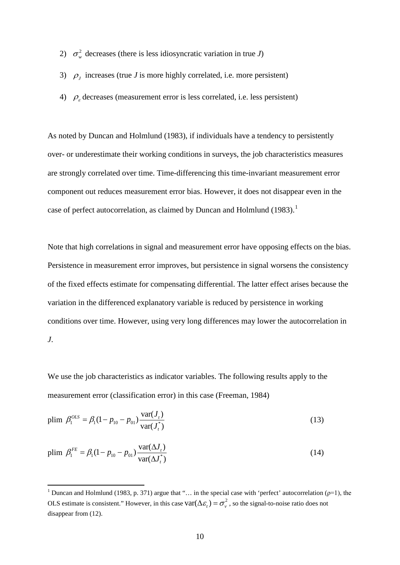- 2)  $\sigma_w^2$  decreases (there is less idiosyncratic variation in true *J*)
- 3)  $\rho_I$  increases (true *J* is more highly correlated, i.e. more persistent)
- 4)  $\rho_{\varepsilon}$  decreases (measurement error is less correlated, i.e. less persistent)

As noted by Duncan and Holmlund (1983), if individuals have a tendency to persistently over- or underestimate their working conditions in surveys, the job characteristics measures are strongly correlated over time. Time-differencing this time-invariant measurement error component out reduces measurement error bias. However, it does not disappear even in the case of perfect autocorrelation, as claimed by Duncan and Holmlund (1983).<sup>1</sup>

Note that high correlations in signal and measurement error have opposing effects on the bias. Persistence in measurement error improves, but persistence in signal worsens the consistency of the fixed effects estimate for compensating differential. The latter effect arises because the variation in the differenced explanatory variable is reduced by persistence in working conditions over time. However, using very long differences may lower the autocorrelation in *J*.

We use the job characteristics as indicator variables. The following results apply to the measurement error (classification error) in this case (Freeman, 1984)

plim 
$$
\beta_1^{OLS} = \beta_1 (1 - p_{10} - p_{01}) \frac{\text{var}(J_t)}{\text{var}(J_t^*)}
$$
 (13)

plim 
$$
\beta_1^{FE} = \beta_1 (1 - p_{10} - p_{01}) \frac{\text{var}(\Delta J_t)}{\text{var}(\Delta J_t^*)}
$$
 (14)

<span id="page-11-0"></span><sup>&</sup>lt;sup>1</sup> Duncan and Holmlund (1983, p. 371) argue that "... in the special case with 'perfect' autocorrelation ( $\rho=1$ ), the OLS estimate is consistent." However, in this case  $\text{var}(\Delta \varepsilon) = \sigma_v^2$ , so the signal-to-noise ratio does not disappear from (12).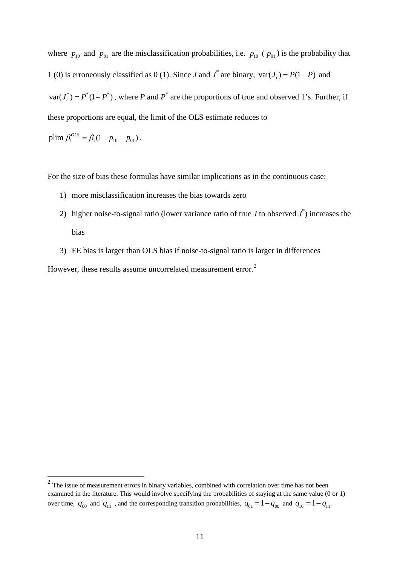where  $p_{10}$  and  $p_{01}$  are the misclassification probabilities, i.e.  $p_{10}$  ( $p_{01}$ ) is the probability that 1 (0) is erroneously classified as 0 (1). Since *J* and  $J^*$  are binary,  $var(J_t) = P(1 - P)$  and  $var(J_{n}^{*}) = P^{*}(1 - P^{*})$ , where *P* and *P*<sup>\*</sup> are the proportions of true and observed 1's. Further, if these proportions are equal, the limit of the OLS estimate reduces to

plim 
$$
\beta_1^{OLS}
$$
 =  $\beta_1(1 - p_{10} - p_{01})$ .

For the size of bias these formulas have similar implications as in the continuous case:

- 1) more misclassification increases the bias towards zero
- 2) higher noise-to-signal ratio (lower variance ratio of true  $J$  to observed  $J^*$ ) increases the bias
- 3) FE bias is larger than OLS bias if noise-to-signal ratio is larger in differences

However, these results assume uncorrelated measurement error.<sup>[2](#page-11-0)</sup>

<span id="page-12-0"></span><sup>&</sup>lt;sup>2</sup> The issue of measurement errors in binary variables, combined with correlation over time has not been examined in the literature. This would involve specifying the probabilities of staying at the same value (0 or 1) over time,  $q_{00}$  and  $q_{11}$ , and the corresponding transition probabilities,  $q_{01} = 1 - q_{00}$  and  $q_{10} = 1 - q_{11}$ .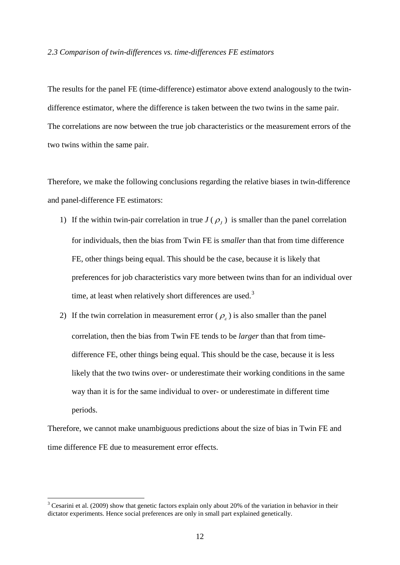#### *2.3 Comparison of twin-differences vs. time-differences FE estimators*

The results for the panel FE (time-difference) estimator above extend analogously to the twindifference estimator, where the difference is taken between the two twins in the same pair. The correlations are now between the true job characteristics or the measurement errors of the two twins within the same pair.

Therefore, we make the following conclusions regarding the relative biases in twin-difference and panel-difference FE estimators:

- 1) If the within twin-pair correlation in true  $J(\rho_i)$  is smaller than the panel correlation for individuals, then the bias from Twin FE is *smaller* than that from time difference FE, other things being equal. This should be the case, because it is likely that preferences for job characteristics vary more between twins than for an individual over time, at least when relatively short differences are used.<sup>[3](#page-12-0)</sup>
- 2) If the twin correlation in measurement error ( $\rho<sub>\varepsilon</sub>$ ) is also smaller than the panel correlation, then the bias from Twin FE tends to be *larger* than that from timedifference FE, other things being equal. This should be the case, because it is less likely that the two twins over- or underestimate their working conditions in the same way than it is for the same individual to over- or underestimate in different time periods.

Therefore, we cannot make unambiguous predictions about the size of bias in Twin FE and time difference FE due to measurement error effects.

<span id="page-13-0"></span><sup>&</sup>lt;sup>3</sup> Cesarini et al. (2009) show that genetic factors explain only about 20% of the variation in behavior in their dictator experiments. Hence social preferences are only in small part explained genetically.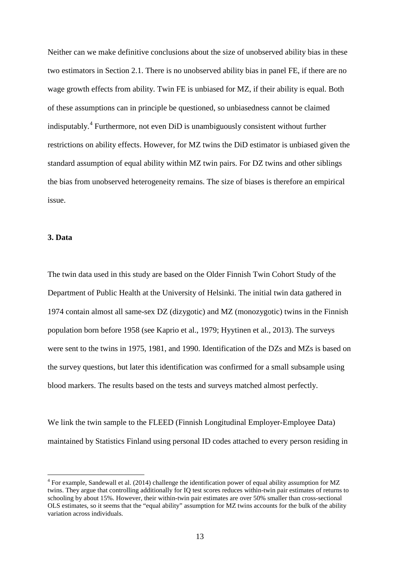Neither can we make definitive conclusions about the size of unobserved ability bias in these two estimators in Section 2.1. There is no unobserved ability bias in panel FE, if there are no wage growth effects from ability. Twin FE is unbiased for MZ, if their ability is equal. Both of these assumptions can in principle be questioned, so unbiasedness cannot be claimed indisputably.[4](#page-13-0) Furthermore, not even DiD is unambiguously consistent without further restrictions on ability effects. However, for MZ twins the DiD estimator is unbiased given the standard assumption of equal ability within MZ twin pairs. For DZ twins and other siblings the bias from unobserved heterogeneity remains. The size of biases is therefore an empirical issue.

#### **3. Data**

The twin data used in this study are based on the Older Finnish Twin Cohort Study of the Department of Public Health at the University of Helsinki. The initial twin data gathered in 1974 contain almost all same-sex DZ [\(dizygotic\)](http://en.wikipedia.org/wiki/Dizygotic) and MZ [\(monozygotic\)](http://en.wikipedia.org/wiki/Monozygotic) twins in the Finnish population born before 1958 (see Kaprio et al., 1979; Hyytinen et al., 2013). The surveys were sent to the twins in 1975, 1981, and 1990. Identification of the DZs and MZs is based on the survey questions, but later this identification was confirmed for a small subsample using blood markers. The results based on the tests and surveys matched almost perfectly.

We link the twin sample to the FLEED (Finnish Longitudinal Employer-Employee Data) maintained by Statistics Finland using personal ID codes attached to every person residing in

<span id="page-14-0"></span> <sup>4</sup> For example, Sandewall et al. (2014) challenge the identification power of equal ability assumption for MZ twins. They argue that controlling additionally for IQ test scores reduces within-twin pair estimates of returns to schooling by about 15%. However, their within-twin pair estimates are over 50% smaller than cross-sectional OLS estimates, so it seems that the "equal ability" assumption for MZ twins accounts for the bulk of the ability variation across individuals.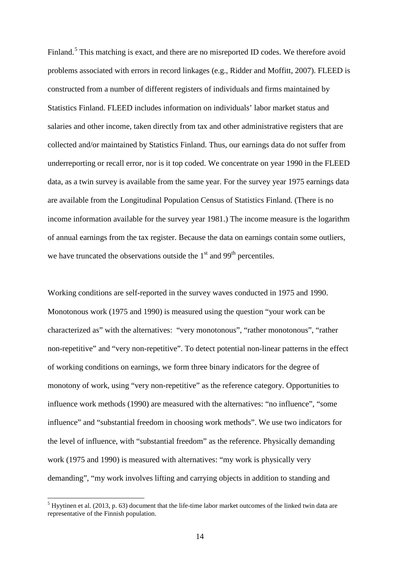Finland.<sup>[5](#page-14-0)</sup> This matching is exact, and there are no misreported ID codes. We therefore avoid problems associated with errors in record linkages (e.g., Ridder and Moffitt, 2007). FLEED is constructed from a number of different registers of individuals and firms maintained by Statistics Finland. FLEED includes information on individuals' labor market status and salaries and other income, taken directly from tax and other administrative registers that are collected and/or maintained by Statistics Finland. Thus, our earnings data do not suffer from underreporting or recall error, nor is it top coded. We concentrate on year 1990 in the FLEED data, as a twin survey is available from the same year. For the survey year 1975 earnings data are available from the Longitudinal Population Census of Statistics Finland. (There is no income information available for the survey year 1981.) The income measure is the logarithm of annual earnings from the tax register. Because the data on earnings contain some outliers, we have truncated the observations outside the  $1<sup>st</sup>$  and  $99<sup>th</sup>$  percentiles.

Working conditions are self-reported in the survey waves conducted in 1975 and 1990. Monotonous work (1975 and 1990) is measured using the question "your work can be characterized as" with the alternatives: "very monotonous", "rather monotonous", "rather non-repetitive" and "very non-repetitive". To detect potential non-linear patterns in the effect of working conditions on earnings, we form three binary indicators for the degree of monotony of work, using "very non-repetitive" as the reference category. Opportunities to influence work methods (1990) are measured with the alternatives: "no influence", "some influence" and "substantial freedom in choosing work methods". We use two indicators for the level of influence, with "substantial freedom" as the reference. Physically demanding work (1975 and 1990) is measured with alternatives: "my work is physically very demanding", "my work involves lifting and carrying objects in addition to standing and

<span id="page-15-0"></span> $<sup>5</sup>$  Hyytinen et al. (2013, p. 63) document that the life-time labor market outcomes of the linked twin data are</sup> representative of the Finnish population.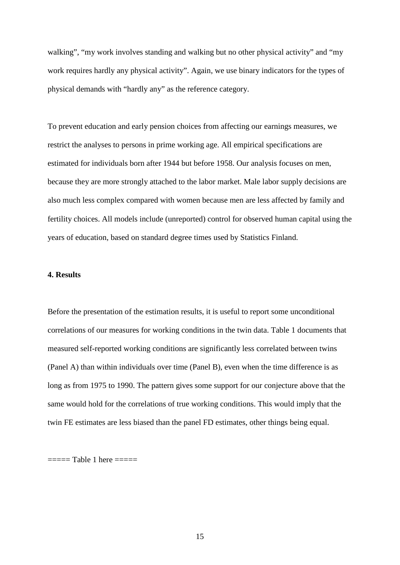walking", "my work involves standing and walking but no other physical activity" and "my work requires hardly any physical activity". Again, we use binary indicators for the types of physical demands with "hardly any" as the reference category.

To prevent education and early pension choices from affecting our earnings measures, we restrict the analyses to persons in prime working age. All empirical specifications are estimated for individuals born after 1944 but before 1958. Our analysis focuses on men, because they are more strongly attached to the labor market. Male labor supply decisions are also much less complex compared with women because men are less affected by family and fertility choices. All models include (unreported) control for observed human capital using the years of education, based on standard degree times used by Statistics Finland.

#### **4. Results**

Before the presentation of the estimation results, it is useful to report some unconditional correlations of our measures for working conditions in the twin data. Table 1 documents that measured self-reported working conditions are significantly less correlated between twins (Panel A) than within individuals over time (Panel B), even when the time difference is as long as from 1975 to 1990. The pattern gives some support for our conjecture above that the same would hold for the correlations of true working conditions. This would imply that the twin FE estimates are less biased than the panel FD estimates, other things being equal.

===== Table 1 here =====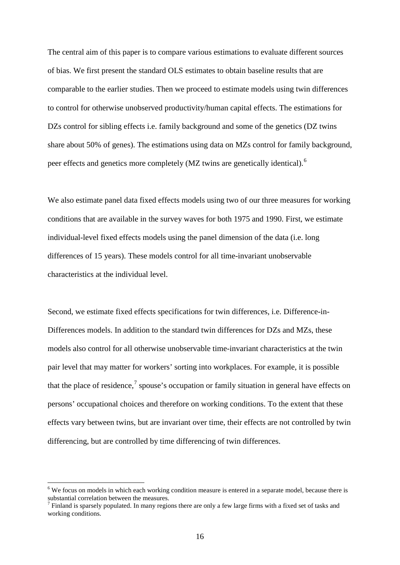The central aim of this paper is to compare various estimations to evaluate different sources of bias. We first present the standard OLS estimates to obtain baseline results that are comparable to the earlier studies. Then we proceed to estimate models using twin differences to control for otherwise unobserved productivity/human capital effects. The estimations for DZs control for sibling effects i.e. family background and some of the genetics (DZ twins share about 50% of genes). The estimations using data on MZs control for family background, peer effects and genetics more completely (MZ twins are genetically identical).[6](#page-15-0)

We also estimate panel data fixed effects models using two of our three measures for working conditions that are available in the survey waves for both 1975 and 1990. First, we estimate individual-level fixed effects models using the panel dimension of the data (i.e. long differences of 15 years). These models control for all time-invariant unobservable characteristics at the individual level.

Second, we estimate fixed effects specifications for twin differences, i.e. Difference-in-Differences models. In addition to the standard twin differences for DZs and MZs, these models also control for all otherwise unobservable time-invariant characteristics at the twin pair level that may matter for workers' sorting into workplaces. For example, it is possible that the place of residence,<sup>[7](#page-17-0)</sup> spouse's occupation or family situation in general have effects on persons' occupational choices and therefore on working conditions. To the extent that these effects vary between twins, but are invariant over time, their effects are not controlled by twin differencing, but are controlled by time differencing of twin differences.

<sup>&</sup>lt;sup>6</sup> We focus on models in which each working condition measure is entered in a separate model, because there is substantial correlation between the measures.

<span id="page-17-0"></span> $^7$  Finland is sparsely populated. In many regions there are only a few large firms with a fixed set of tasks and working conditions.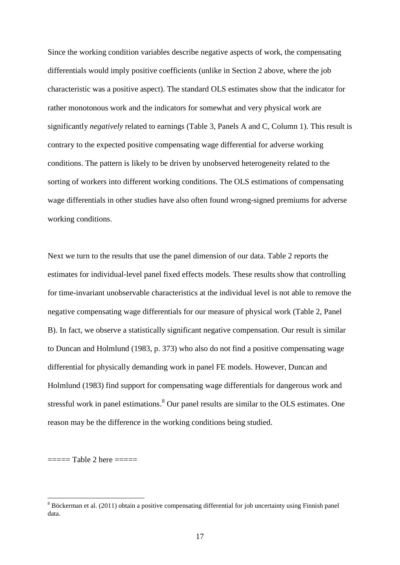Since the working condition variables describe negative aspects of work, the compensating differentials would imply positive coefficients (unlike in Section 2 above, where the job characteristic was a positive aspect). The standard OLS estimates show that the indicator for rather monotonous work and the indicators for somewhat and very physical work are significantly *negatively* related to earnings (Table 3, Panels A and C, Column 1). This result is contrary to the expected positive compensating wage differential for adverse working conditions. The pattern is likely to be driven by unobserved heterogeneity related to the sorting of workers into different working conditions. The OLS estimations of compensating wage differentials in other studies have also often found wrong-signed premiums for adverse working conditions.

Next we turn to the results that use the panel dimension of our data. Table 2 reports the estimates for individual-level panel fixed effects models. These results show that controlling for time-invariant unobservable characteristics at the individual level is not able to remove the negative compensating wage differentials for our measure of physical work (Table 2, Panel B). In fact, we observe a statistically significant negative compensation. Our result is similar to Duncan and Holmlund (1983, p. 373) who also do not find a positive compensating wage differential for physically demanding work in panel FE models. However, Duncan and Holmlund (1983) find support for compensating wage differentials for dangerous work and stressful work in panel estimations.<sup>[8](#page-17-0)</sup> Our panel results are similar to the OLS estimates. One reason may be the difference in the working conditions being studied.

===== Table 2 here =====

 <sup>8</sup> Böckerman et al. (2011) obtain a positive compensating differential for job uncertainty using Finnish panel data.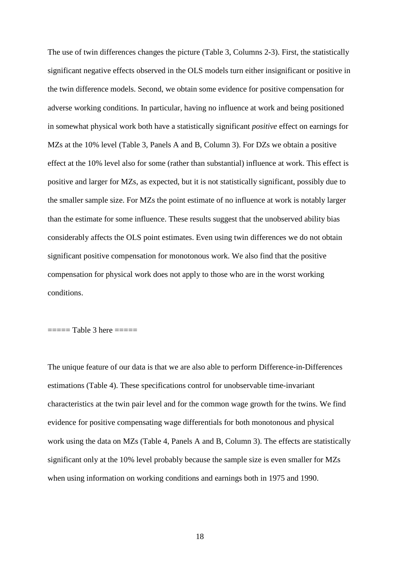The use of twin differences changes the picture (Table 3, Columns 2-3). First, the statistically significant negative effects observed in the OLS models turn either insignificant or positive in the twin difference models. Second, we obtain some evidence for positive compensation for adverse working conditions. In particular, having no influence at work and being positioned in somewhat physical work both have a statistically significant *positive* effect on earnings for MZs at the 10% level (Table 3, Panels A and B, Column 3). For DZs we obtain a positive effect at the 10% level also for some (rather than substantial) influence at work. This effect is positive and larger for MZs, as expected, but it is not statistically significant, possibly due to the smaller sample size. For MZs the point estimate of no influence at work is notably larger than the estimate for some influence. These results suggest that the unobserved ability bias considerably affects the OLS point estimates. Even using twin differences we do not obtain significant positive compensation for monotonous work. We also find that the positive compensation for physical work does not apply to those who are in the worst working conditions.

===== Table 3 here =====

The unique feature of our data is that we are also able to perform Difference-in-Differences estimations (Table 4). These specifications control for unobservable time-invariant characteristics at the twin pair level and for the common wage growth for the twins. We find evidence for positive compensating wage differentials for both monotonous and physical work using the data on MZs (Table 4, Panels A and B, Column 3). The effects are statistically significant only at the 10% level probably because the sample size is even smaller for MZs when using information on working conditions and earnings both in 1975 and 1990.

18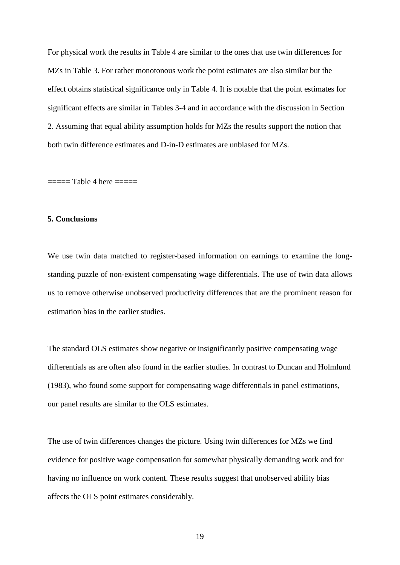For physical work the results in Table 4 are similar to the ones that use twin differences for MZs in Table 3. For rather monotonous work the point estimates are also similar but the effect obtains statistical significance only in Table 4. It is notable that the point estimates for significant effects are similar in Tables 3-4 and in accordance with the discussion in Section 2. Assuming that equal ability assumption holds for MZs the results support the notion that both twin difference estimates and D-in-D estimates are unbiased for MZs.

===== Table 4 here =====

#### **5. Conclusions**

We use twin data matched to register-based information on earnings to examine the longstanding puzzle of non-existent compensating wage differentials. The use of twin data allows us to remove otherwise unobserved productivity differences that are the prominent reason for estimation bias in the earlier studies.

The standard OLS estimates show negative or insignificantly positive compensating wage differentials as are often also found in the earlier studies. In contrast to Duncan and Holmlund (1983), who found some support for compensating wage differentials in panel estimations, our panel results are similar to the OLS estimates.

The use of twin differences changes the picture. Using twin differences for MZs we find evidence for positive wage compensation for somewhat physically demanding work and for having no influence on work content. These results suggest that unobserved ability bias affects the OLS point estimates considerably.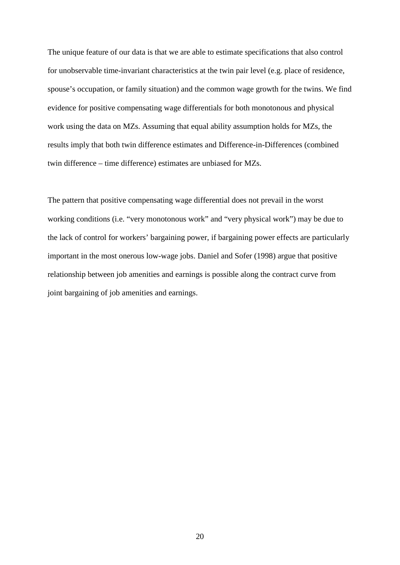The unique feature of our data is that we are able to estimate specifications that also control for unobservable time-invariant characteristics at the twin pair level (e.g. place of residence, spouse's occupation, or family situation) and the common wage growth for the twins. We find evidence for positive compensating wage differentials for both monotonous and physical work using the data on MZs. Assuming that equal ability assumption holds for MZs, the results imply that both twin difference estimates and Difference-in-Differences (combined twin difference – time difference) estimates are unbiased for MZs.

The pattern that positive compensating wage differential does not prevail in the worst working conditions (i.e. "very monotonous work" and "very physical work") may be due to the lack of control for workers' bargaining power, if bargaining power effects are particularly important in the most onerous low-wage jobs. Daniel and Sofer (1998) argue that positive relationship between job amenities and earnings is possible along the contract curve from joint bargaining of job amenities and earnings.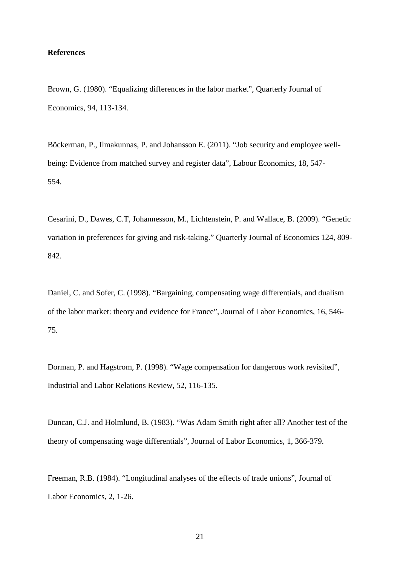#### **References**

Brown, G. (1980). "Equalizing differences in the labor market", Quarterly Journal of Economics, 94, 113-134.

Böckerman, P., Ilmakunnas, P. and Johansson E. (2011). "Job security and employee wellbeing: Evidence from matched survey and register data", Labour Economics, 18, 547- 554.

Cesarini, D., Dawes, C.T, Johannesson, M., Lichtenstein, P. and Wallace, B. (2009). "Genetic variation in preferences for giving and risk-taking." Quarterly Journal of Economics 124, 809- 842.

Daniel, C. and Sofer, C. (1998). "Bargaining, compensating wage differentials, and dualism of the labor market: theory and evidence for France", Journal of Labor Economics, 16, 546- 75.

Dorman, P. and Hagstrom, P. (1998). "Wage compensation for dangerous work revisited", Industrial and Labor Relations Review, 52, 116-135.

Duncan, C.J. and Holmlund, B. (1983). "Was Adam Smith right after all? Another test of the theory of compensating wage differentials", Journal of Labor Economics, 1, 366-379.

Freeman, R.B. (1984). "Longitudinal analyses of the effects of trade unions", Journal of Labor Economics, 2, 1-26.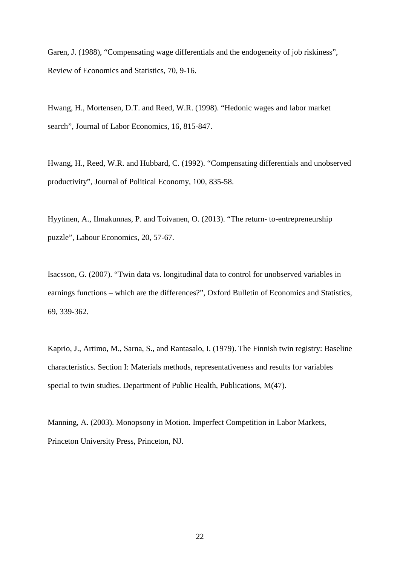Garen, J. (1988), "Compensating wage differentials and the endogeneity of job riskiness", Review of Economics and Statistics, 70, 9-16.

Hwang, H., Mortensen, D.T. and Reed, W.R. (1998). "Hedonic wages and labor market search", Journal of Labor Economics, 16, 815-847.

Hwang, H., Reed, W.R. and Hubbard, C. (1992). "Compensating differentials and unobserved productivity", Journal of Political Economy, 100, 835-58.

Hyytinen, A., Ilmakunnas, P. and Toivanen, O. (2013). "The return- to-entrepreneurship puzzle", Labour Economics, 20, 57-67.

Isacsson, G. (2007). "Twin data vs. longitudinal data to control for unobserved variables in earnings functions – which are the differences?", Oxford Bulletin of Economics and Statistics, 69, 339-362.

Kaprio, J., Artimo, M., Sarna, S., and Rantasalo, I. (1979). The Finnish twin registry: Baseline characteristics. Section I: Materials methods, representativeness and results for variables special to twin studies. Department of Public Health, Publications, M(47).

Manning, A. (2003). Monopsony in Motion. Imperfect Competition in Labor Markets, Princeton University Press, Princeton, NJ.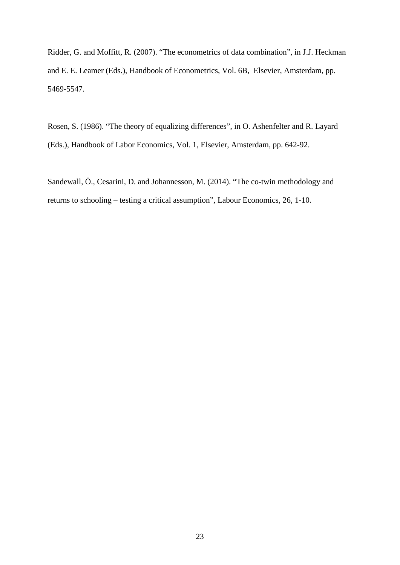Ridder, G. and Moffitt, R. (2007). "The econometrics of data combination", in J.J. Heckman and E. E. Leamer (Eds.), Handbook of Econometrics, Vol. 6B, Elsevier, Amsterdam, pp. 5469-5547.

Rosen, S. (1986). "The theory of equalizing differences", in O. Ashenfelter and R. Layard (Eds.), Handbook of Labor Economics, Vol. 1, Elsevier, Amsterdam, pp. 642-92.

Sandewall, Ö., Cesarini, D. and Johannesson, M. (2014). "The co-twin methodology and returns to schooling – testing a critical assumption", Labour Economics, 26, 1-10.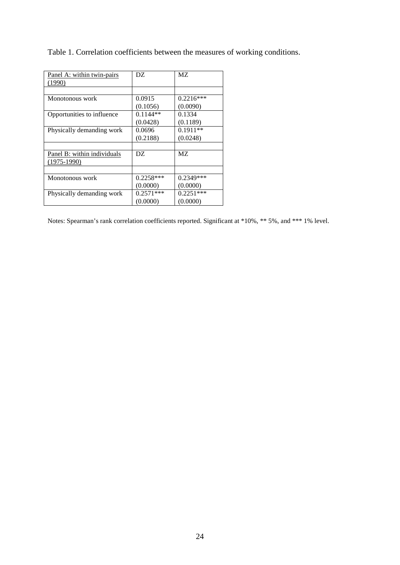| Panel A: within twin-pairs  | DZ.         | МZ          |
|-----------------------------|-------------|-------------|
| (1990)                      |             |             |
|                             |             |             |
| Monotonous work             | 0.0915      | $0.2216***$ |
|                             | (0.1056)    | (0.0090)    |
| Opportunities to influence  | $0.1144**$  | 0.1334      |
|                             | (0.0428)    | (0.1189)    |
| Physically demanding work   | 0.0696      | $0.1911**$  |
|                             | (0.2188)    | (0.0248)    |
|                             |             |             |
| Panel B: within individuals | DZ.         | МZ          |
| $(1975-1990)$               |             |             |
|                             |             |             |
| Monotonous work             | $0.2258***$ | 0.2349***   |
|                             | (0.0000)    | (0.0000)    |
| Physically demanding work   | $0.2571***$ | $0.2251***$ |
|                             | (0.0000)    | (0.0000)    |

Table 1. Correlation coefficients between the measures of working conditions.

Notes: Spearman's rank correlation coefficients reported. Significant at \*10%, \*\* 5%, and \*\*\* 1% level.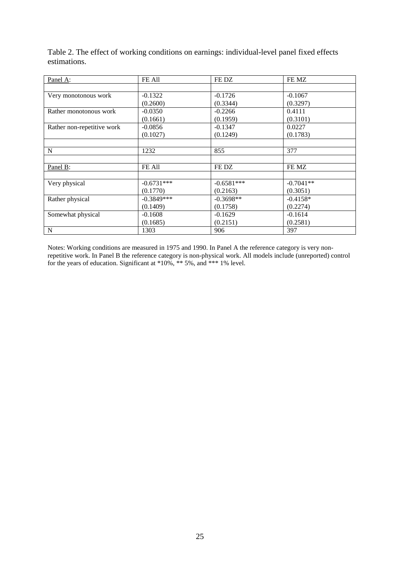Table 2. The effect of working conditions on earnings: individual-level panel fixed effects estimations.

| Panel A:                   | FE All       | FE DZ        | FE MZ       |
|----------------------------|--------------|--------------|-------------|
|                            |              |              |             |
| Very monotonous work       | $-0.1322$    | $-0.1726$    | $-0.1067$   |
|                            | (0.2600)     | (0.3344)     | (0.3297)    |
| Rather monotonous work     | $-0.0350$    | $-0.2266$    | 0.4111      |
|                            | (0.1661)     | (0.1959)     | (0.3101)    |
| Rather non-repetitive work | $-0.0856$    | $-0.1347$    | 0.0227      |
|                            | (0.1027)     | (0.1249)     | (0.1783)    |
|                            |              |              |             |
| N                          | 1232         | 855          | 377         |
|                            |              |              |             |
| Panel B:                   | FE All       | FE DZ        | FE MZ       |
|                            |              |              |             |
| Very physical              | $-0.6731***$ | $-0.6581***$ | $-0.7041**$ |
|                            | (0.1770)     | (0.2163)     | (0.3051)    |
| Rather physical            | $-0.3849***$ | $-0.3698**$  | $-0.4158*$  |
|                            | (0.1409)     | (0.1758)     | (0.2274)    |
| Somewhat physical          | $-0.1608$    | $-0.1629$    | $-0.1614$   |
|                            | (0.1685)     | (0.2151)     | (0.2581)    |
| $\mathbf N$                | 1303         | 906          | 397         |

Notes: Working conditions are measured in 1975 and 1990. In Panel A the reference category is very nonrepetitive work. In Panel B the reference category is non-physical work. All models include (unreported) control for the years of education. Significant at \*10%, \*\* 5%, and \*\*\* 1% level.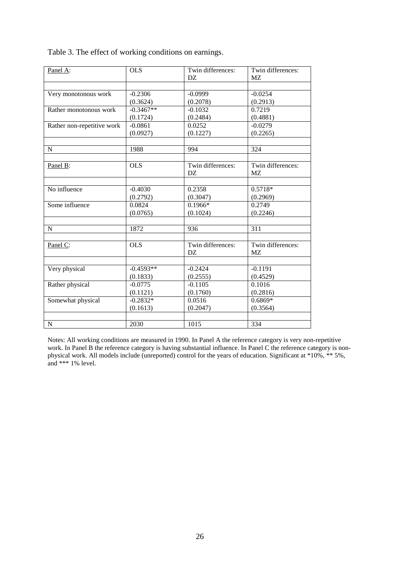| Panel A:                   | <b>OLS</b>         | Twin differences:     | Twin differences:     |
|----------------------------|--------------------|-----------------------|-----------------------|
|                            |                    | DZ.                   | MZ                    |
|                            |                    |                       |                       |
| Very monotonous work       | $-0.2306$          | $-0.0999$             | $-0.0254$             |
|                            | (0.3624)           | (0.2078)              | (0.2913)              |
| Rather monotonous work     | $-0.3467**$        | $-0.1032$             | 0.7219                |
|                            | (0.1724)           | (0.2484)              | (0.4881)              |
| Rather non-repetitive work | $-0.0861$          | 0.0252                | $-0.0279$             |
|                            | (0.0927)           | (0.1227)              | (0.2265)              |
|                            |                    |                       |                       |
| N                          | 1988               | 994                   | 324                   |
|                            | <b>OLS</b>         | Twin differences:     | Twin differences:     |
| Panel B:                   |                    | DZ.                   |                       |
|                            |                    |                       | <b>MZ</b>             |
| No influence               | $-0.4030$          | 0.2358                | $0.5718*$             |
|                            |                    |                       |                       |
| Some influence             | (0.2792)<br>0.0824 | (0.3047)<br>$0.1966*$ | (0.2969)<br>0.2749    |
|                            |                    |                       |                       |
|                            | (0.0765)           | (0.1024)              | (0.2246)              |
| N                          | 1872               | 936                   | 311                   |
|                            |                    |                       |                       |
| Panel C:                   | <b>OLS</b>         | Twin differences:     | Twin differences:     |
|                            |                    | DZ                    | MZ                    |
| Very physical              | $-0.4593**$        | $-0.2424$             | $-0.1191$             |
|                            | (0.1833)           | (0.2555)              | (0.4529)              |
|                            | $-0.0775$          | $-0.1105$             | 0.1016                |
| Rather physical            |                    |                       |                       |
|                            | (0.1121)           | (0.1760)              | (0.2816)<br>$0.6869*$ |
| Somewhat physical          | $-0.2832*$         | 0.0516                |                       |
|                            | (0.1613)           | (0.2047)              | (0.3564)              |
|                            |                    |                       |                       |
| ${\bf N}$                  | 2030               | 1015                  | 334                   |

Table 3. The effect of working conditions on earnings.

Notes: All working conditions are measured in 1990. In Panel A the reference category is very non-repetitive work. In Panel B the reference category is having substantial influence. In Panel C the reference category is nonphysical work. All models include (unreported) control for the years of education. Significant at \*10%, \*\* 5%, and  $*** 1\%$  level.